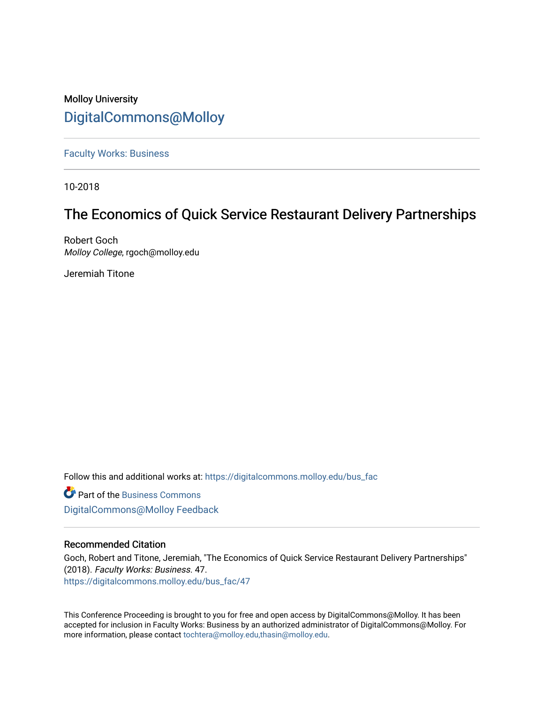## Molloy University [DigitalCommons@Molloy](https://digitalcommons.molloy.edu/)

[Faculty Works: Business](https://digitalcommons.molloy.edu/bus_fac) 

10-2018

# The Economics of Quick Service Restaurant Delivery Partnerships

Robert Goch Molloy College, rgoch@molloy.edu

Jeremiah Titone

Follow this and additional works at: [https://digitalcommons.molloy.edu/bus\\_fac](https://digitalcommons.molloy.edu/bus_fac?utm_source=digitalcommons.molloy.edu%2Fbus_fac%2F47&utm_medium=PDF&utm_campaign=PDFCoverPages)

**C** Part of the [Business Commons](https://network.bepress.com/hgg/discipline/622?utm_source=digitalcommons.molloy.edu%2Fbus_fac%2F47&utm_medium=PDF&utm_campaign=PDFCoverPages) [DigitalCommons@Molloy Feedback](https://molloy.libwizard.com/f/dcfeedback)

#### Recommended Citation

Goch, Robert and Titone, Jeremiah, "The Economics of Quick Service Restaurant Delivery Partnerships" (2018). Faculty Works: Business. 47. [https://digitalcommons.molloy.edu/bus\\_fac/47](https://digitalcommons.molloy.edu/bus_fac/47?utm_source=digitalcommons.molloy.edu%2Fbus_fac%2F47&utm_medium=PDF&utm_campaign=PDFCoverPages) 

This Conference Proceeding is brought to you for free and open access by DigitalCommons@Molloy. It has been accepted for inclusion in Faculty Works: Business by an authorized administrator of DigitalCommons@Molloy. For more information, please contact [tochtera@molloy.edu,thasin@molloy.edu.](mailto:tochtera@molloy.edu,thasin@molloy.edu)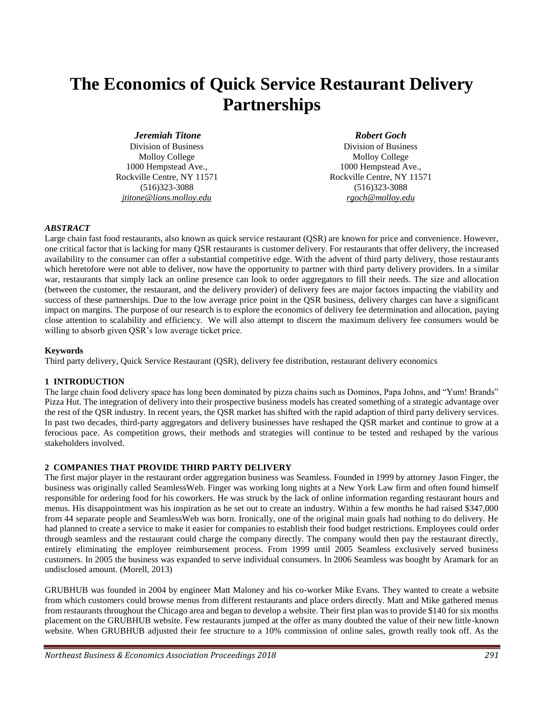# **The Economics of Quick Service Restaurant Delivery Partnerships**

#### *Jeremiah Titone*

Division of Business Molloy College 1000 Hempstead Ave., Rockville Centre, NY 11571 (516)323-3088 *jtitone@lions.molloy.edu*

#### *Robert Goch*

Division of Business Molloy College 1000 Hempstead Ave., Rockville Centre, NY 11571 (516)323-3088 *rgoch@molloy.edu*

#### *ABSTRACT*

Large chain fast food restaurants, also known as quick service restaurant (QSR) are known for price and convenience. However, one critical factor that is lacking for many QSR restaurants is customer delivery. For restaurants that offer delivery, the increased availability to the consumer can offer a substantial competitive edge. With the advent of third party delivery, those restaurants which heretofore were not able to deliver, now have the opportunity to partner with third party delivery providers. In a similar war, restaurants that simply lack an online presence can look to order aggregators to fill their needs. The size and allocation (between the customer, the restaurant, and the delivery provider) of delivery fees are major factors impacting the viability and success of these partnerships. Due to the low average price point in the QSR business, delivery charges can have a significant impact on margins. The purpose of our research is to explore the economics of delivery fee determination and allocation, paying close attention to scalability and efficiency. We will also attempt to discern the maximum delivery fee consumers would be willing to absorb given QSR's low average ticket price.

#### **Keywords**

Third party delivery, Quick Service Restaurant (QSR), delivery fee distribution, restaurant delivery economics

#### **1 INTRODUCTION**

The large chain food delivery space has long been dominated by pizza chains such as Dominos, Papa Johns, and "Yum! Brands" Pizza Hut. The integration of delivery into their prospective business models has created something of a strategic advantage over the rest of the QSR industry. In recent years, the QSR market has shifted with the rapid adaption of third party delivery services. In past two decades, third-party aggregators and delivery businesses have reshaped the QSR market and continue to grow at a ferocious pace. As competition grows, their methods and strategies will continue to be tested and reshaped by the various stakeholders involved.

#### **2 COMPANIES THAT PROVIDE THIRD PARTY DELIVERY**

The first major player in the restaurant order aggregation business was Seamless. Founded in 1999 by attorney Jason Finger, the business was originally called SeamlessWeb. Finger was working long nights at a New York Law firm and often found himself responsible for ordering food for his coworkers. He was struck by the lack of online information regarding restaurant hours and menus. His disappointment was his inspiration as he set out to create an industry. Within a few months he had raised \$347,000 from 44 separate people and SeamlessWeb was born. Ironically, one of the original main goals had nothing to do delivery. He had planned to create a service to make it easier for companies to establish their food budget restrictions. Employees could order through seamless and the restaurant could charge the company directly. The company would then pay the restaurant directly, entirely eliminating the employee reimbursement process. From 1999 until 2005 Seamless exclusively served business customers. In 2005 the business was expanded to serve individual consumers. In 2006 Seamless was bought by Aramark for an undisclosed amount. (Morell, 2013)

GRUBHUB was founded in 2004 by engineer Matt Maloney and his co-worker Mike Evans. They wanted to create a website from which customers could browse menus from different restaurants and place orders directly. Matt and Mike gathered menus from restaurants throughout the Chicago area and began to develop a website. Their first plan was to provide \$140 for six months placement on the GRUBHUB website. Few restaurants jumped at the offer as many doubted the value of their new little-known website. When GRUBHUB adjusted their fee structure to a 10% commission of online sales, growth really took off. As the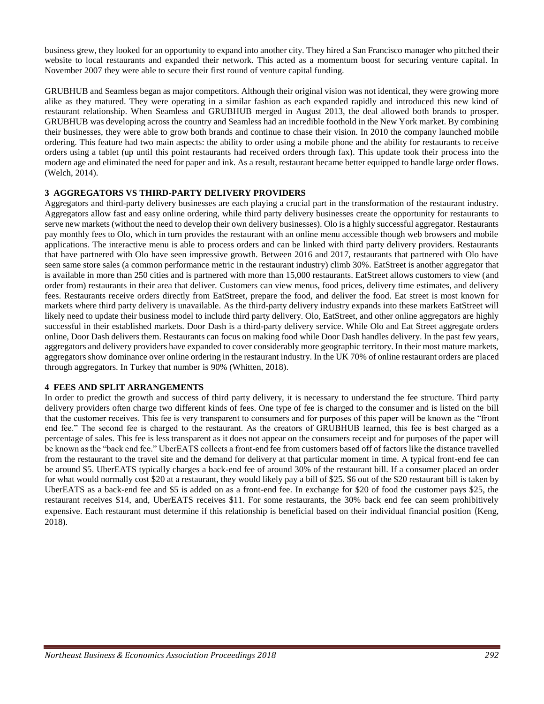business grew, they looked for an opportunity to expand into another city. They hired a San Francisco manager who pitched their website to local restaurants and expanded their network. This acted as a momentum boost for securing venture capital. In November 2007 they were able to secure their first round of venture capital funding.

GRUBHUB and Seamless began as major competitors. Although their original vision was not identical, they were growing more alike as they matured. They were operating in a similar fashion as each expanded rapidly and introduced this new kind of restaurant relationship. When Seamless and GRUBHUB merged in August 2013, the deal allowed both brands to prosper. GRUBHUB was developing across the country and Seamless had an incredible foothold in the New York market. By combining their businesses, they were able to grow both brands and continue to chase their vision. In 2010 the company launched mobile ordering. This feature had two main aspects: the ability to order using a mobile phone and the ability for restaurants to receive orders using a tablet (up until this point restaurants had received orders through fax). This update took their process into the modern age and eliminated the need for paper and ink. As a result, restaurant became better equipped to handle large order flows. (Welch, 2014).

#### **3 AGGREGATORS VS THIRD-PARTY DELIVERY PROVIDERS**

Aggregators and third-party delivery businesses are each playing a crucial part in the transformation of the restaurant industry. Aggregators allow fast and easy online ordering, while third party delivery businesses create the opportunity for restaurants to serve new markets (without the need to develop their own delivery businesses). Olo is a highly successful aggregator. Restaurants pay monthly fees to Olo, which in turn provides the restaurant with an online menu accessible though web browsers and mobile applications. The interactive menu is able to process orders and can be linked with third party delivery providers. Restaurants that have partnered with Olo have seen impressive growth. Between 2016 and 2017, restaurants that partnered with Olo have seen same store sales (a common performance metric in the restaurant industry) climb 30%. EatStreet is another aggregator that is available in more than 250 cities and is partnered with more than 15,000 restaurants. EatStreet allows customers to view (and order from) restaurants in their area that deliver. Customers can view menus, food prices, delivery time estimates, and delivery fees. Restaurants receive orders directly from EatStreet, prepare the food, and deliver the food. Eat street is most known for markets where third party delivery is unavailable. As the third-party delivery industry expands into these markets EatStreet will likely need to update their business model to include third party delivery. Olo, EatStreet, and other online aggregators are highly successful in their established markets. Door Dash is a third-party delivery service. While Olo and Eat Street aggregate orders online, Door Dash delivers them. Restaurants can focus on making food while Door Dash handles delivery. In the past few years, aggregators and delivery providers have expanded to cover considerably more geographic territory. In their most mature markets, aggregators show dominance over online ordering in the restaurant industry. In the UK 70% of online restaurant orders are placed through aggregators. In Turkey that number is 90% (Whitten, 2018).

#### **4 FEES AND SPLIT ARRANGEMENTS**

In order to predict the growth and success of third party delivery, it is necessary to understand the fee structure. Third party delivery providers often charge two different kinds of fees. One type of fee is charged to the consumer and is listed on the bill that the customer receives. This fee is very transparent to consumers and for purposes of this paper will be known as the "front end fee." The second fee is charged to the restaurant. As the creators of GRUBHUB learned, this fee is best charged as a percentage of sales. This fee is less transparent as it does not appear on the consumers receipt and for purposes of the paper will be known as the "back end fee." UberEATS collects a front-end fee from customers based off of factors like the distance travelled from the restaurant to the travel site and the demand for delivery at that particular moment in time. A typical front-end fee can be around \$5. UberEATS typically charges a back-end fee of around 30% of the restaurant bill. If a consumer placed an order for what would normally cost \$20 at a restaurant, they would likely pay a bill of \$25. \$6 out of the \$20 restaurant bill is taken by UberEATS as a back-end fee and \$5 is added on as a front-end fee. In exchange for \$20 of food the customer pays \$25, the restaurant receives \$14, and, UberEATS receives \$11. For some restaurants, the 30% back end fee can seem prohibitively expensive. Each restaurant must determine if this relationship is beneficial based on their individual financial position (Keng, 2018).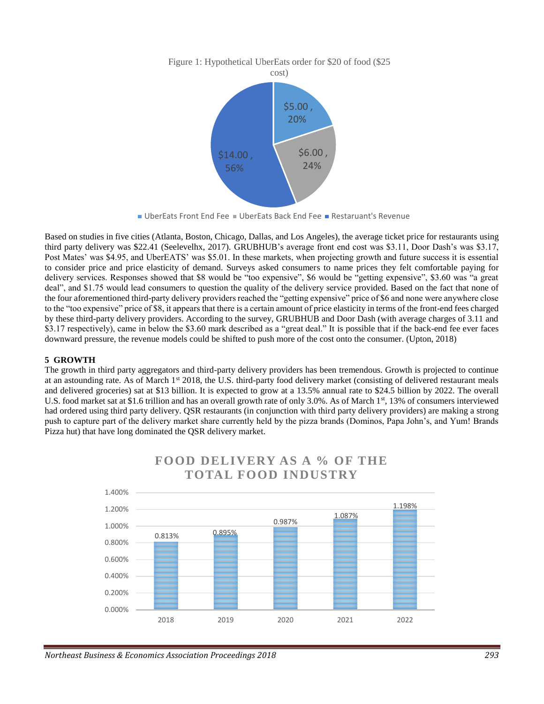

### Figure 1: Hypothetical UberEats order for \$20 of food (\$25

Based on studies in five cities (Atlanta, Boston, Chicago, Dallas, and Los Angeles), the average ticket price for restaurants using third party delivery was \$22.41 (Seelevelhx, 2017). GRUBHUB's average front end cost was \$3.11, Door Dash's was \$3.17, Post Mates' was \$4.95, and UberEATS' was \$5.01. In these markets, when projecting growth and future success it is essential to consider price and price elasticity of demand. Surveys asked consumers to name prices they felt comfortable paying for delivery services. Responses showed that \$8 would be "too expensive", \$6 would be "getting expensive", \$3.60 was "a great deal", and \$1.75 would lead consumers to question the quality of the delivery service provided. Based on the fact that none of the four aforementioned third-party delivery providers reached the "getting expensive" price of \$6 and none were anywhere close to the "too expensive" price of \$8, it appears that there is a certain amount of price elasticity in terms of the front-end fees charged by these third-party delivery providers. According to the survey, GRUBHUB and Door Dash (with average charges of 3.11 and \$3.17 respectively), came in below the \$3.60 mark described as a "great deal." It is possible that if the back-end fee ever faces downward pressure, the revenue models could be shifted to push more of the cost onto the consumer. (Upton, 2018)

#### **5 GROWTH**

The growth in third party aggregators and third-party delivery providers has been tremendous. Growth is projected to continue at an astounding rate. As of March 1st 2018, the U.S. third-party food delivery market (consisting of delivered restaurant meals and delivered groceries) sat at \$13 billion. It is expected to grow at a 13.5% annual rate to \$24.5 billion by 2022. The overall U.S. food market sat at \$1.6 trillion and has an overall growth rate of only 3.0%. As of March 1<sup>st</sup>, 13% of consumers interviewed had ordered using third party delivery. QSR restaurants (in conjunction with third party delivery providers) are making a strong push to capture part of the delivery market share currently held by the pizza brands (Dominos, Papa John's, and Yum! Brands Pizza hut) that have long dominated the QSR delivery market.



## **FOOD DELIVERY AS A % OF THE TOTAL FOOD INDUSTRY**

<sup>■</sup> UberEats Front End Fee ■ UberEats Back End Fee ■ Restaruant's Revenue